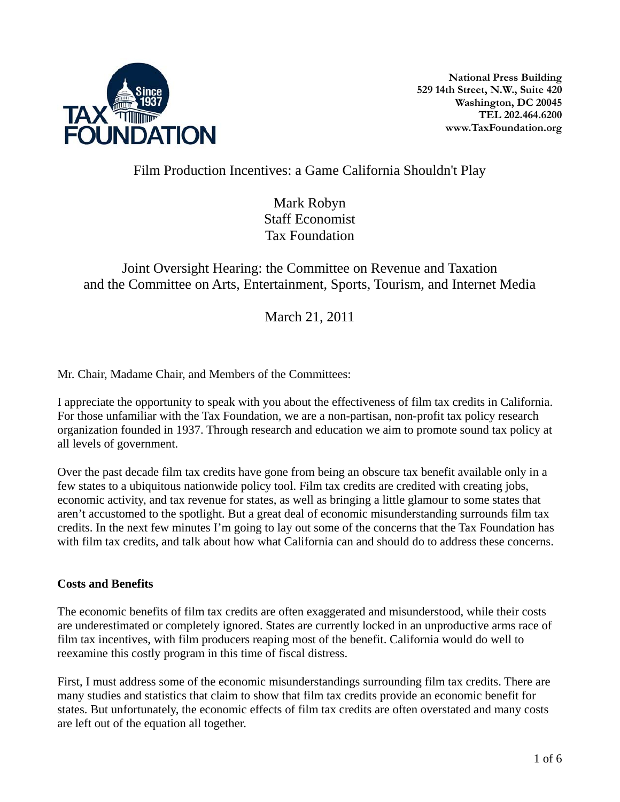

## Film Production Incentives: a Game California Shouldn't Play

Mark Robyn Staff Economist Tax Foundation

# Joint Oversight Hearing: the Committee on Revenue and Taxation and the Committee on Arts, Entertainment, Sports, Tourism, and Internet Media

March 21, 2011

Mr. Chair, Madame Chair, and Members of the Committees:

I appreciate the opportunity to speak with you about the effectiveness of film tax credits in California. For those unfamiliar with the Tax Foundation, we are a non-partisan, non-profit tax policy research organization founded in 1937. Through research and education we aim to promote sound tax policy at all levels of government.

Over the past decade film tax credits have gone from being an obscure tax benefit available only in a few states to a ubiquitous nationwide policy tool. Film tax credits are credited with creating jobs, economic activity, and tax revenue for states, as well as bringing a little glamour to some states that aren't accustomed to the spotlight. But a great deal of economic misunderstanding surrounds film tax credits. In the next few minutes I'm going to lay out some of the concerns that the Tax Foundation has with film tax credits, and talk about how what California can and should do to address these concerns.

### **Costs and Benefits**

The economic benefits of film tax credits are often exaggerated and misunderstood, while their costs are underestimated or completely ignored. States are currently locked in an unproductive arms race of film tax incentives, with film producers reaping most of the benefit. California would do well to reexamine this costly program in this time of fiscal distress.

First, I must address some of the economic misunderstandings surrounding film tax credits. There are many studies and statistics that claim to show that film tax credits provide an economic benefit for states. But unfortunately, the economic effects of film tax credits are often overstated and many costs are left out of the equation all together.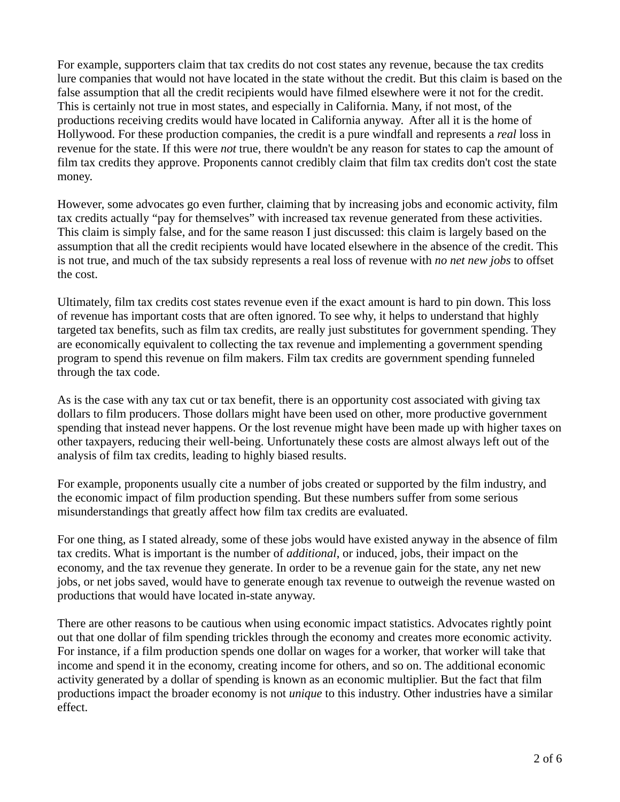For example, supporters claim that tax credits do not cost states any revenue, because the tax credits lure companies that would not have located in the state without the credit. But this claim is based on the false assumption that all the credit recipients would have filmed elsewhere were it not for the credit. This is certainly not true in most states, and especially in California. Many, if not most, of the productions receiving credits would have located in California anyway. After all it is the home of Hollywood. For these production companies, the credit is a pure windfall and represents a *real* loss in revenue for the state. If this were *not* true, there wouldn't be any reason for states to cap the amount of film tax credits they approve. Proponents cannot credibly claim that film tax credits don't cost the state money.

However, some advocates go even further, claiming that by increasing jobs and economic activity, film tax credits actually "pay for themselves" with increased tax revenue generated from these activities. This claim is simply false, and for the same reason I just discussed: this claim is largely based on the assumption that all the credit recipients would have located elsewhere in the absence of the credit. This is not true, and much of the tax subsidy represents a real loss of revenue with *no net new jobs* to offset the cost.

Ultimately, film tax credits cost states revenue even if the exact amount is hard to pin down. This loss of revenue has important costs that are often ignored. To see why, it helps to understand that highly targeted tax benefits, such as film tax credits, are really just substitutes for government spending. They are economically equivalent to collecting the tax revenue and implementing a government spending program to spend this revenue on film makers. Film tax credits are government spending funneled through the tax code.

As is the case with any tax cut or tax benefit, there is an opportunity cost associated with giving tax dollars to film producers. Those dollars might have been used on other, more productive government spending that instead never happens. Or the lost revenue might have been made up with higher taxes on other taxpayers, reducing their well-being. Unfortunately these costs are almost always left out of the analysis of film tax credits, leading to highly biased results.

For example, proponents usually cite a number of jobs created or supported by the film industry, and the economic impact of film production spending. But these numbers suffer from some serious misunderstandings that greatly affect how film tax credits are evaluated.

For one thing, as I stated already, some of these jobs would have existed anyway in the absence of film tax credits. What is important is the number of *additional*, or induced, jobs, their impact on the economy, and the tax revenue they generate. In order to be a revenue gain for the state, any net new jobs, or net jobs saved, would have to generate enough tax revenue to outweigh the revenue wasted on productions that would have located in-state anyway.

There are other reasons to be cautious when using economic impact statistics. Advocates rightly point out that one dollar of film spending trickles through the economy and creates more economic activity. For instance, if a film production spends one dollar on wages for a worker, that worker will take that income and spend it in the economy, creating income for others, and so on. The additional economic activity generated by a dollar of spending is known as an economic multiplier. But the fact that film productions impact the broader economy is not *unique* to this industry. Other industries have a similar effect.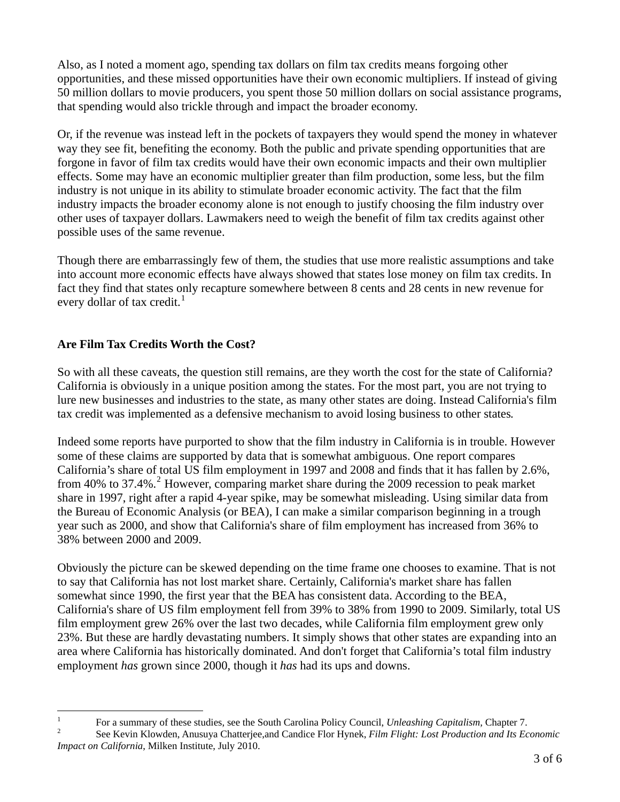Also, as I noted a moment ago, spending tax dollars on film tax credits means forgoing other opportunities, and these missed opportunities have their own economic multipliers. If instead of giving 50 million dollars to movie producers, you spent those 50 million dollars on social assistance programs, that spending would also trickle through and impact the broader economy.

Or, if the revenue was instead left in the pockets of taxpayers they would spend the money in whatever way they see fit, benefiting the economy. Both the public and private spending opportunities that are forgone in favor of film tax credits would have their own economic impacts and their own multiplier effects. Some may have an economic multiplier greater than film production, some less, but the film industry is not unique in its ability to stimulate broader economic activity. The fact that the film industry impacts the broader economy alone is not enough to justify choosing the film industry over other uses of taxpayer dollars. Lawmakers need to weigh the benefit of film tax credits against other possible uses of the same revenue.

Though there are embarrassingly few of them, the studies that use more realistic assumptions and take into account more economic effects have always showed that states lose money on film tax credits. In fact they find that states only recapture somewhere between 8 cents and 28 cents in new revenue for every dollar of tax credit. $<sup>1</sup>$  $<sup>1</sup>$  $<sup>1</sup>$ </sup>

## **Are Film Tax Credits Worth the Cost?**

So with all these caveats, the question still remains, are they worth the cost for the state of California? California is obviously in a unique position among the states. For the most part, you are not trying to lure new businesses and industries to the state, as many other states are doing. Instead California's film tax credit was implemented as a defensive mechanism to avoid losing business to other states*.* 

Indeed some reports have purported to show that the film industry in California is in trouble. However some of these claims are supported by data that is somewhat ambiguous. One report compares California's share of total US film employment in 1997 and 2008 and finds that it has fallen by 2.6%, from 40% to 37.4%.<sup>[2](#page-2-1)</sup> However, comparing market share during the 2009 recession to peak market share in 1997, right after a rapid 4-year spike, may be somewhat misleading. Using similar data from the Bureau of Economic Analysis (or BEA), I can make a similar comparison beginning in a trough year such as 2000, and show that California's share of film employment has increased from 36% to 38% between 2000 and 2009.

Obviously the picture can be skewed depending on the time frame one chooses to examine. That is not to say that California has not lost market share. Certainly, California's market share has fallen somewhat since 1990, the first year that the BEA has consistent data. According to the BEA, California's share of US film employment fell from 39% to 38% from 1990 to 2009. Similarly, total US film employment grew 26% over the last two decades, while California film employment grew only 23%. But these are hardly devastating numbers. It simply shows that other states are expanding into an area where California has historically dominated. And don't forget that California's total film industry employment *has* grown since 2000, though it *has* had its ups and downs.

 $\frac{1}{1}$ For a summary of these studies, see the South Carolina Policy Council, *Unleashing Capitalism*, Chapter 7.

<span id="page-2-1"></span><span id="page-2-0"></span>See Kevin Klowden, Anusuya Chatterjee,and Candice Flor Hynek, *Film Flight: Lost Production and Its Economic Impact on California*, Milken Institute, July 2010.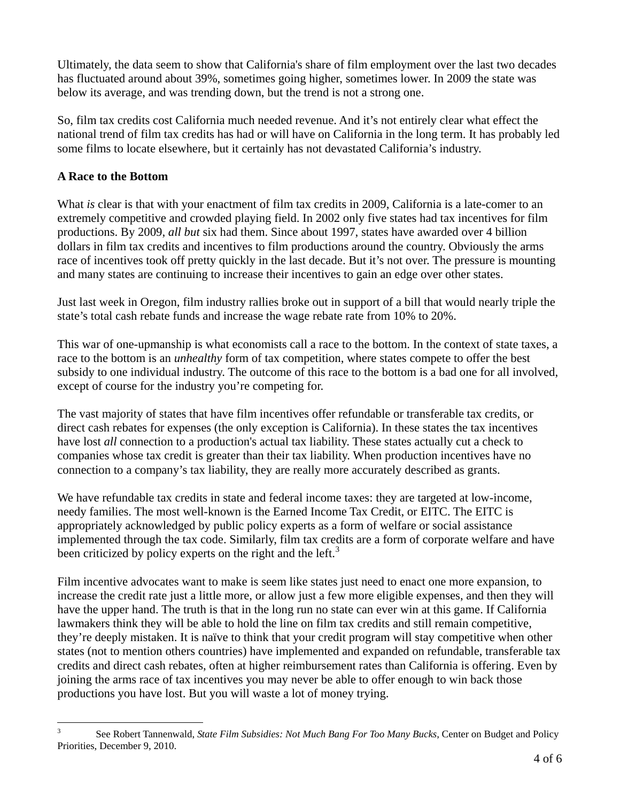Ultimately, the data seem to show that California's share of film employment over the last two decades has fluctuated around about 39%, sometimes going higher, sometimes lower. In 2009 the state was below its average, and was trending down, but the trend is not a strong one.

So, film tax credits cost California much needed revenue. And it's not entirely clear what effect the national trend of film tax credits has had or will have on California in the long term. It has probably led some films to locate elsewhere, but it certainly has not devastated California's industry.

### **A Race to the Bottom**

 $\overline{a}$ 

What *is* clear is that with your enactment of film tax credits in 2009, California is a late-comer to an extremely competitive and crowded playing field. In 2002 only five states had tax incentives for film productions. By 2009, *all but* six had them. Since about 1997, states have awarded over 4 billion dollars in film tax credits and incentives to film productions around the country. Obviously the arms race of incentives took off pretty quickly in the last decade. But it's not over. The pressure is mounting and many states are continuing to increase their incentives to gain an edge over other states.

Just last week in Oregon, film industry rallies broke out in support of a bill that would nearly triple the state's total cash rebate funds and increase the wage rebate rate from 10% to 20%.

This war of one-upmanship is what economists call a race to the bottom. In the context of state taxes, a race to the bottom is an *unhealthy* form of tax competition, where states compete to offer the best subsidy to one individual industry. The outcome of this race to the bottom is a bad one for all involved, except of course for the industry you're competing for.

The vast majority of states that have film incentives offer refundable or transferable tax credits, or direct cash rebates for expenses (the only exception is California). In these states the tax incentives have lost *all* connection to a production's actual tax liability. These states actually cut a check to companies whose tax credit is greater than their tax liability. When production incentives have no connection to a company's tax liability, they are really more accurately described as grants.

We have refundable tax credits in state and federal income taxes: they are targeted at low-income, needy families. The most well-known is the Earned Income Tax Credit, or EITC. The EITC is appropriately acknowledged by public policy experts as a form of welfare or social assistance implemented through the tax code. Similarly, film tax credits are a form of corporate welfare and have been criticized by policy experts on the right and the left.<sup>[3](#page-3-0)</sup>

Film incentive advocates want to make is seem like states just need to enact one more expansion, to increase the credit rate just a little more, or allow just a few more eligible expenses, and then they will have the upper hand. The truth is that in the long run no state can ever win at this game. If California lawmakers think they will be able to hold the line on film tax credits and still remain competitive, they're deeply mistaken. It is naïve to think that your credit program will stay competitive when other states (not to mention others countries) have implemented and expanded on refundable, transferable tax credits and direct cash rebates, often at higher reimbursement rates than California is offering. Even by joining the arms race of tax incentives you may never be able to offer enough to win back those productions you have lost. But you will waste a lot of money trying.

<span id="page-3-0"></span><sup>3</sup> See Robert Tannenwald, *State Film Subsidies: Not Much Bang For Too Many Bucks*, Center on Budget and Policy Priorities, December 9, 2010.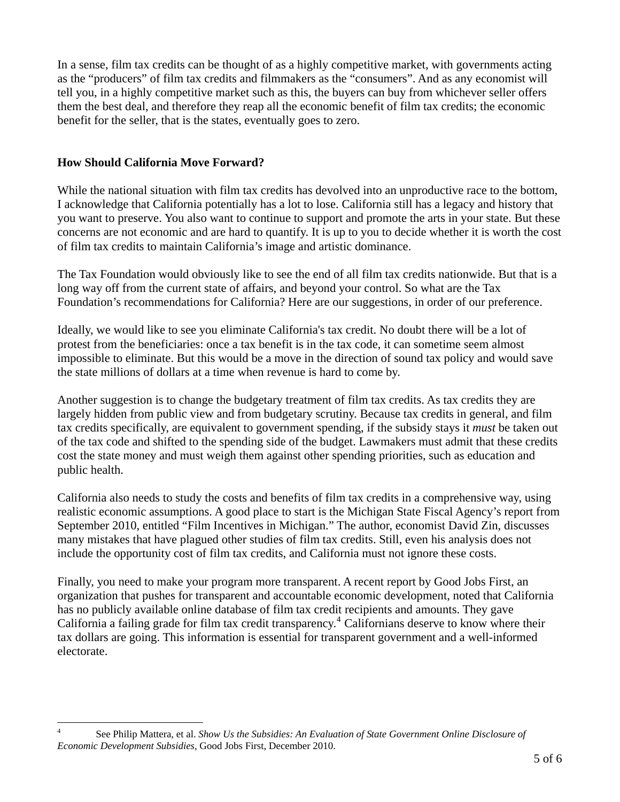In a sense, film tax credits can be thought of as a highly competitive market, with governments acting as the "producers" of film tax credits and filmmakers as the "consumers". And as any economist will tell you, in a highly competitive market such as this, the buyers can buy from whichever seller offers them the best deal, and therefore they reap all the economic benefit of film tax credits; the economic benefit for the seller, that is the states, eventually goes to zero.

#### **How Should California Move Forward?**

 $\overline{a}$ 

While the national situation with film tax credits has devolved into an unproductive race to the bottom, I acknowledge that California potentially has a lot to lose. California still has a legacy and history that you want to preserve. You also want to continue to support and promote the arts in your state. But these concerns are not economic and are hard to quantify. It is up to you to decide whether it is worth the cost of film tax credits to maintain California's image and artistic dominance.

The Tax Foundation would obviously like to see the end of all film tax credits nationwide. But that is a long way off from the current state of affairs, and beyond your control. So what are the Tax Foundation's recommendations for California? Here are our suggestions, in order of our preference.

Ideally, we would like to see you eliminate California's tax credit. No doubt there will be a lot of protest from the beneficiaries: once a tax benefit is in the tax code, it can sometime seem almost impossible to eliminate. But this would be a move in the direction of sound tax policy and would save the state millions of dollars at a time when revenue is hard to come by.

Another suggestion is to change the budgetary treatment of film tax credits. As tax credits they are largely hidden from public view and from budgetary scrutiny. Because tax credits in general, and film tax credits specifically, are equivalent to government spending, if the subsidy stays it *must* be taken out of the tax code and shifted to the spending side of the budget. Lawmakers must admit that these credits cost the state money and must weigh them against other spending priorities, such as education and public health.

California also needs to study the costs and benefits of film tax credits in a comprehensive way, using realistic economic assumptions. A good place to start is the Michigan State Fiscal Agency's report from September 2010, entitled "Film Incentives in Michigan." The author, economist David Zin, discusses many mistakes that have plagued other studies of film tax credits. Still, even his analysis does not include the opportunity cost of film tax credits, and California must not ignore these costs.

tax dollars are going. This information is essential for transparent government and a well-informed Finally, you need to make your program more transparent. A recent report by Good Jobs First, an organization that pushes for transparent and accountable economic development, noted that California has no publicly available online database of film tax credit recipients and amounts. They gave California a failing grade for film tax credit transparency.<sup>[4](#page-4-0)</sup> Californians deserve to know where their electorate.

<span id="page-4-0"></span><sup>4</sup> See Philip Mattera, et al. *Show Us the Subsidies: An Evaluation of State Government Online Disclosure of Economic Development Subsidies*, Good Jobs First, December 2010.